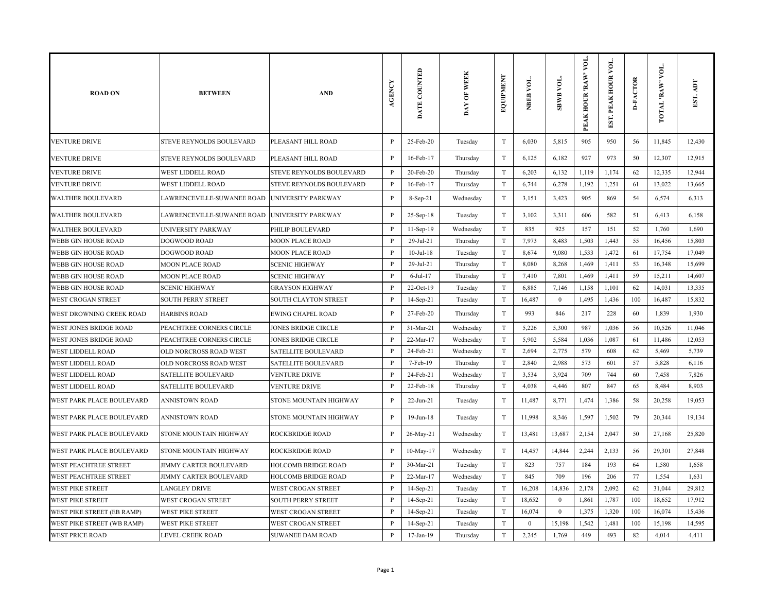| <b>ROAD ON</b>             | <b>BETWEEN</b>             | <b>AND</b>                 | AGENCY       | DATE COUNTED    | DAY OF WEEK | EQUIPMENT                 | NBEB VOL.        | SBWB VOL.      | VOL.<br>PEAK HOUR 'RAW' | EST. PEAK HOUR VOI | <b>D-FACTOR</b> | TOTAL RAW VOL. | EST.   |
|----------------------------|----------------------------|----------------------------|--------------|-----------------|-------------|---------------------------|------------------|----------------|-------------------------|--------------------|-----------------|----------------|--------|
| <b>VENTURE DRIVE</b>       | STEVE REYNOLDS BOULEVARD   | PLEASANT HILL ROAD         | $\mathbf{P}$ | 25-Feb-20       | Tuesday     | T                         | 6,030            | 5,815          | 905                     | 950                | 56              | 11,845         | 12,430 |
| VENTURE DRIVE              | STEVE REYNOLDS BOULEVARD   | PLEASANT HILL ROAD         | P            | 16-Feb-17       | Thursday    | T                         | 6,125            | 6,182          | 927                     | 973                | 50              | 12,307         | 12,915 |
| <b>VENTURE DRIVE</b>       | WEST LIDDELL ROAD          | STEVE REYNOLDS BOULEVARD   | $\mathbf{P}$ | 20-Feb-20       | Thursday    | T                         | 6,203            | 6,132          | 1,119                   | 1,174              | 62              | 12,335         | 12,944 |
| <b>VENTURE DRIVE</b>       | <b>WEST LIDDELL ROAD</b>   | STEVE REYNOLDS BOULEVARD   | $\, {\bf P}$ | 16-Feb-17       | Thursday    | $\ensuremath{\mathrm{T}}$ | 6,744            | 6,278          | 1,192                   | 1,251              | 61              | 13,022         | 13,665 |
| <b>WALTHER BOULEVARD</b>   | LAWRENCEVILLE-SUWANEE ROAD | <b>UNIVERSITY PARKWAY</b>  | $\, {\bf P}$ | $8-Sep-21$      | Wednesday   | $\ensuremath{\mathrm{T}}$ | 3,151            | 3,423          | 905                     | 869                | 54              | 6,574          | 6,313  |
| WALTHER BOULEVARD          | LAWRENCEVILLE-SUWANEE ROAD | <b>UNIVERSITY PARKWAY</b>  | $\mathbf{P}$ | $25-Sep-18$     | Tuesday     | $\mathbf T$               | 3,102            | 3,311          | 606                     | 582                | 51              | 6,413          | 6,158  |
| WALTHER BOULEVARD          | UNIVERSITY PARKWAY         | PHILIP BOULEVARD           | P            | $11-Sep-19$     | Wednesday   | T                         | 835              | 925            | 157                     | 151                | 52              | 1,760          | 1,690  |
| WEBB GIN HOUSE ROAD        | DOGWOOD ROAD               | MOON PLACE ROAD            | $\mathbf{P}$ | 29-Jul-21       | Thursday    | $\ensuremath{\mathrm{T}}$ | 7,973            | 8,483          | 1,503                   | 1,443              | 55              | 16,456         | 15,803 |
| WEBB GIN HOUSE ROAD        | DOGWOOD ROAD               | MOON PLACE ROAD            | $\mathbf{P}$ | $10$ -Jul- $18$ | Tuesday     | $\ensuremath{\mathrm{T}}$ | 8,674            | 9,080          | 1,533                   | 1,472              | 61              | 17,754         | 17,049 |
| WEBB GIN HOUSE ROAD        | <b>MOON PLACE ROAD</b>     | <b>SCENIC HIGHWAY</b>      | $\mathbf{P}$ | 29-Jul-21       | Thursday    | $\ensuremath{\mathrm{T}}$ | 8,080            | 8,268          | 1,469                   | 1,411              | 53              | 16,348         | 15,699 |
| WEBB GIN HOUSE ROAD        | <b>MOON PLACE ROAD</b>     | <b>SCENIC HIGHWAY</b>      | $\mathbf{P}$ | $6$ -Jul-17     | Thursday    | $\ensuremath{\mathrm{T}}$ | 7,410            | 7,801          | 1,469                   | 1,411              | 59              | 15,211         | 14,607 |
| WEBB GIN HOUSE ROAD        | <b>SCENIC HIGHWAY</b>      | GRAYSON HIGHWAY            | $\mathbf{P}$ | 22-Oct-19       | Tuesday     | T                         | 6,885            | 7,146          | 1,158                   | 1,101              | 62              | 14,031         | 13,335 |
| WEST CROGAN STREET         | SOUTH PERRY STREET         | SOUTH CLAYTON STREET       | $\mathbf{P}$ | 14-Sep-21       | Tuesday     | T                         | 16,487           | $\bf{0}$       | 1,495                   | 1,436              | 100             | 16,487         | 15,832 |
| WEST DROWNING CREEK ROAD   | <b>HARBINS ROAD</b>        | EWING CHAPEL ROAD          | P            | 27-Feb-20       | Thursday    | $\ensuremath{\mathrm{T}}$ | 993              | 846            | 217                     | 228                | 60              | 1,839          | 1,930  |
| WEST JONES BRIDGE ROAD     | PEACHTREE CORNERS CIRCLE   | <b>JONES BRIDGE CIRCLE</b> | P            | 31-Mar-21       | Wednesday   | T                         | 5,226            | 5,300          | 987                     | 1,036              | 56              | 10,526         | 11,046 |
| WEST JONES BRIDGE ROAD     | PEACHTREE CORNERS CIRCLE   | JONES BRIDGE CIRCLE        | $\mathbf{P}$ | 22-Mar-17       | Wednesday   | T                         | 5,902            | 5,584          | 1,036                   | 1,087              | 61              | 11,486         | 12,053 |
| WEST LIDDELL ROAD          | OLD NORCROSS ROAD WEST     | SATELLITE BOULEVARD        | $\mathbf{P}$ | 24-Feb-21       | Wednesday   | T                         | 2,694            | 2,775          | 579                     | 608                | 62              | 5,469          | 5,739  |
| WEST LIDDELL ROAD          | OLD NORCROSS ROAD WEST     | SATELLITE BOULEVARD        | $\mathbf{P}$ | 7-Feb-19        | Thursday    | T                         | 2,840            | 2,988          | 573                     | 601                | 57              | 5,828          | 6,116  |
| WEST LIDDELL ROAD          | SATELLITE BOULEVARD        | VENTURE DRIVE              | P            | 24-Feb-21       | Wednesday   | $\mathbf T$               | 3,534            | 3,924          | 709                     | 744                | 60              | 7,458          | 7,826  |
| WEST LIDDELL ROAD          | SATELLITE BOULEVARD        | VENTURE DRIVE              | P            | 22-Feb-18       | Thursday    | $\ensuremath{\mathrm{T}}$ | 4,038            | 4,446          | 807                     | 847                | 65              | 8,484          | 8,903  |
| WEST PARK PLACE BOULEVARD  | ANNISTOWN ROAD             | STONE MOUNTAIN HIGHWAY     | P            | 22-Jun-21       | Tuesday     | $\ensuremath{\mathrm{T}}$ | 11,487           | 8,771          | 1,474                   | 1,386              | 58              | 20,258         | 19,053 |
| WEST PARK PLACE BOULEVARD  | ANNISTOWN ROAD             | STONE MOUNTAIN HIGHWAY     | $\mathbf{P}$ | 19-Jun-18       | Tuesday     | $\ensuremath{\mathrm{T}}$ | 11,998           | 8,346          | 1,597                   | 1,502              | 79              | 20,344         | 19,134 |
| WEST PARK PLACE BOULEVARD  | STONE MOUNTAIN HIGHWAY     | ROCKBRIDGE ROAD            | $\mathbf{P}$ | 26-May-21       | Wednesday   | $\ensuremath{\mathrm{T}}$ | 13,481           | 13,687         | 2,154                   | 2,047              | 50              | 27,168         | 25,820 |
| WEST PARK PLACE BOULEVARD  | STONE MOUNTAIN HIGHWAY     | ROCKBRIDGE ROAD            | $\mathbf{P}$ | 10-May-17       | Wednesday   | $\rm T$                   | 14,457           | 14,844         | 2,244                   | 2,133              | 56              | 29,301         | 27,848 |
| WEST PEACHTREE STREET      | JIMMY CARTER BOULEVARD     | HOLCOMB BRIDGE ROAD        | $\mathbf{P}$ | 30-Mar-21       | Tuesday     | T                         | 823              | 757            | 184                     | 193                | 64              | 1,580          | 1,658  |
| WEST PEACHTREE STREET      | JIMMY CARTER BOULEVARD     | HOLCOMB BRIDGE ROAD        | P            | 22-Mar-17       | Wednesday   | T                         | 845              | 709            | 196                     | 206                | 77              | 1,554          | 1,631  |
| WEST PIKE STREET           | LANGLEY DRIVE              | WEST CROGAN STREET         | $\mathbf{P}$ | 14-Sep-21       | Tuesday     | T                         | 16,208           | 14,836         | 2,178                   | 2,092              | 62              | 31,044         | 29,812 |
| WEST PIKE STREET           | WEST CROGAN STREET         | SOUTH PERRY STREET         | $\mathbf{P}$ | 14-Sep-21       | Tuesday     | T                         | 18,652           | $\overline{0}$ | 1,861                   | 1,787              | 100             | 18,652         | 17,912 |
| WEST PIKE STREET (EB RAMP) | WEST PIKE STREET           | WEST CROGAN STREET         | P            | 14-Sep-21       | Tuesday     | T                         | 16,074           | $\mathbf{0}$   | 1,375                   | 1,320              | 100             | 16,074         | 15,436 |
| WEST PIKE STREET (WB RAMP) | WEST PIKE STREET           | WEST CROGAN STREET         | P            | 14-Sep-21       | Tuesday     | $\mathbf T$               | $\boldsymbol{0}$ | 15,198         | 1,542                   | 1,481              | 100             | 15,198         | 14,595 |
| <b>WEST PRICE ROAD</b>     | LEVEL CREEK ROAD           | SUWANEE DAM ROAD           | $\mathbf{P}$ | $17$ -Jan- $19$ | Thursday    | T                         | 2,245            | 1,769          | 449                     | 493                | 82              | 4,014          | 4.411  |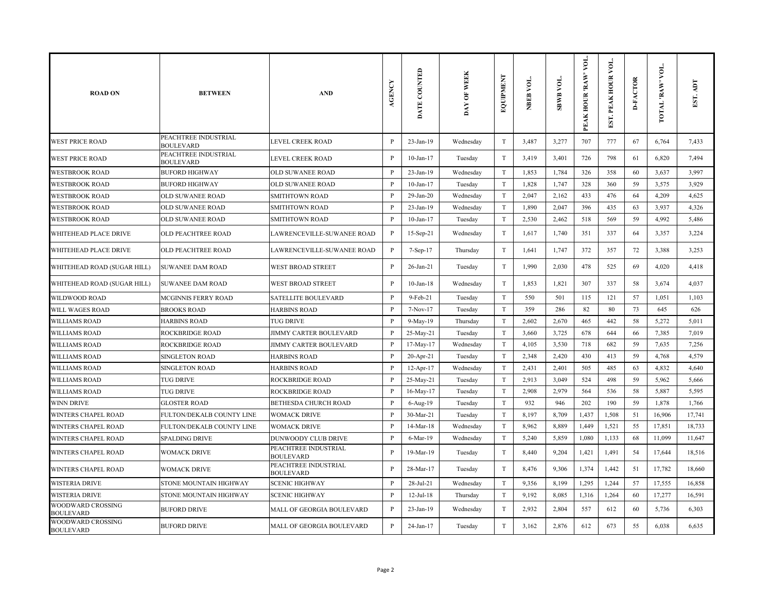| <b>ROAD ON</b>                        | <b>BETWEEN</b>                           | <b>AND</b>                               | AGENCY       | DATE COUNTED    | <b>WEEK</b><br>DAY OF | EQUIPMENT                 | NBEB VOL. | <b>TOA RMBS</b> | VOL.<br>PEAK HOUR 'RAW' | ğ<br>EST. PEAK HOUR | <b>D-FACTOR</b> | VOL.<br>TOTAL 'RAW | <b>TUV</b><br>EST. |
|---------------------------------------|------------------------------------------|------------------------------------------|--------------|-----------------|-----------------------|---------------------------|-----------|-----------------|-------------------------|---------------------|-----------------|--------------------|--------------------|
| <b>WEST PRICE ROAD</b>                | PEACHTREE INDUSTRIAL<br><b>BOULEVARD</b> | LEVEL CREEK ROAD                         | $\mathbf{P}$ | 23-Jan-19       | Wednesday             | $\mathbf T$               | 3,487     | 3,277           | 707                     | 777                 | 67              | 6,764              | 7,433              |
| <b>WEST PRICE ROAD</b>                | PEACHTREE INDUSTRIAL<br><b>BOULEVARD</b> | LEVEL CREEK ROAD                         | $\mathbf{P}$ | $10$ -Jan- $17$ | Tuesday               | $\mathbf T$               | 3,419     | 3,401           | 726                     | 798                 | 61              | 6,820              | 7,494              |
| WESTBROOK ROAD                        | <b>BUFORD HIGHWAY</b>                    | OLD SUWANEE ROAD                         | $\mathbf{P}$ | $23$ -Jan-19    | Wednesday             | $\mathbf T$               | 1,853     | 1,784           | 326                     | 358                 | 60              | 3,637              | 3,997              |
| <b>WESTBROOK ROAD</b>                 | <b>BUFORD HIGHWAY</b>                    | OLD SUWANEE ROAD                         | $\mathbf{P}$ | $10$ -Jan- $17$ | Tuesday               | $\mathbf T$               | 1,828     | 1,747           | 328                     | 360                 | 59              | 3,575              | 3,929              |
| <b>WESTBROOK ROAD</b>                 | OLD SUWANEE ROAD                         | <b>SMITHTOWN ROAD</b>                    | $\mathbf{P}$ | $29$ -Jan- $20$ | Wednesday             | $\mathbf T$               | 2,047     | 2,162           | 433                     | 476                 | 64              | 4,209              | 4,625              |
| <b>WESTBROOK ROAD</b>                 | OLD SUWANEE ROAD                         | <b>SMITHTOWN ROAD</b>                    | P            | 23-Jan-19       | Wednesday             | $\mathbf T$               | 1,890     | 2,047           | 396                     | 435                 | 63              | 3,937              | 4,326              |
| WESTBROOK ROAD                        | OLD SUWANEE ROAD                         | <b>SMITHTOWN ROAD</b>                    | P            | $10$ -Jan- $17$ | Tuesday               | $\mathbf T$               | 2,530     | 2,462           | 518                     | 569                 | 59              | 4,992              | 5,486              |
| WHITEHEAD PLACE DRIVE                 | OLD PEACHTREE ROAD                       | LAWRENCEVILLE-SUWANEE ROAD               | $\, {\bf p}$ | $15-Sep-21$     | Wednesday             | $\mathbf T$               | 1,617     | 1,740           | 351                     | 337                 | 64              | 3,357              | 3,224              |
| WHITEHEAD PLACE DRIVE                 | OLD PEACHTREE ROAD                       | LAWRENCEVILLE-SUWANEE ROAD               | P            | 7-Sep-17        | Thursday              | $\mathbf T$               | 1,641     | 1,747           | 372                     | 357                 | 72              | 3,388              | 3,253              |
| WHITEHEAD ROAD (SUGAR HILL)           | SUWANEE DAM ROAD                         | WEST BROAD STREET                        | $\, {\bf P}$ | 26-Jan-21       | Tuesday               | $\mathbf T$               | 1,990     | 2,030           | 478                     | 525                 | 69              | 4,020              | 4,418              |
| WHITEHEAD ROAD (SUGAR HILL)           | <b>SUWANEE DAM ROAD</b>                  | WEST BROAD STREET                        | $\, {\bf p}$ | $10$ -Jan- $18$ | Wednesday             | $\mathbf T$               | 1,853     | 1,821           | 307                     | 337                 | 58              | 3,674              | 4,037              |
| WILDWOOD ROAD                         | MCGINNIS FERRY ROAD                      | SATELLITE BOULEVARD                      | $\, {\bf P}$ | 9-Feb-21        | Tuesday               | $\mathbf T$               | 550       | 501             | 115                     | 121                 | 57              | 1,051              | 1,103              |
| WILL WAGES ROAD                       | <b>BROOKS ROAD</b>                       | <b>HARBINS ROAD</b>                      | $\, {\bf P}$ | 7-Nov-17        | Tuesday               | $\mathbf T$               | 359       | 286             | 82                      | 80                  | 73              | 645                | 626                |
| <b>WILLIAMS ROAD</b>                  | <b>HARBINS ROAD</b>                      | <b>TUG DRIVE</b>                         | $\mathbf{P}$ | 9-May-19        | Thursday              | $\mathbf T$               | 2,602     | 2,670           | 465                     | 442                 | 58              | 5,272              | 5,011              |
| WILLIAMS ROAD                         | ROCKBRIDGE ROAD                          | JIMMY CARTER BOULEVARD                   | $\mathbf{P}$ | 25-May-21       | Tuesday               | $\mathbf T$               | 3,660     | 3,725           | 678                     | 644                 | 66              | 7,385              | 7,019              |
| <b>WILLIAMS ROAD</b>                  | <b>ROCKBRIDGE ROAD</b>                   | <b>JIMMY CARTER BOULEVARD</b>            | $\mathbf{P}$ | 17-May-17       | Wednesday             | $\mathbf T$               | 4,105     | 3,530           | 718                     | 682                 | 59              | 7,635              | 7,256              |
| <b>WILLIAMS ROAD</b>                  | SINGLETON ROAD                           | <b>HARBINS ROAD</b>                      | $\mathbf{P}$ | $20$ -Apr-21    | Tuesday               | $\mathbf T$               | 2,348     | 2,420           | 430                     | 413                 | 59              | 4,768              | 4,579              |
| WILLIAMS ROAD                         | <b>SINGLETON ROAD</b>                    | <b>HARBINS ROAD</b>                      | P            | $12$ -Apr- $17$ | Wednesday             | $\mathbf T$               | 2,431     | 2,401           | 505                     | 485                 | 63              | 4,832              | 4,640              |
| WILLIAMS ROAD                         | <b>TUG DRIVE</b>                         | <b>ROCKBRIDGE ROAD</b>                   | P            | 25-May-21       | Tuesday               | $\mathbf T$               | 2,913     | 3,049           | 524                     | 498                 | 59              | 5,962              | 5,666              |
| WILLIAMS ROAD                         | <b>TUG DRIVE</b>                         | <b>ROCKBRIDGE ROAD</b>                   | P            | 16-May-17       | Tuesday               | $\mathbf T$               | 2,908     | 2,979           | 564                     | 536                 | 58              | 5,887              | 5,595              |
| WINN DRIVE                            | <b>GLOSTER ROAD</b>                      | <b>BETHESDA CHURCH ROAD</b>              | P            | 6-Aug-19        | Tuesday               | $\mathbf T$               | 932       | 946             | 202                     | 190                 | 59              | 1,878              | 1,766              |
| WINTERS CHAPEL ROAD                   | FULTON/DEKALB COUNTY LINE                | <b>WOMACK DRIVE</b>                      | P            | 30-Mar-21       | Tuesday               | $\mathbf T$               | 8,197     | 8,709           | 1,437                   | 1,508               | 51              | 16,906             | 17,741             |
| WINTERS CHAPEL ROAD                   | FULTON/DEKALB COUNTY LINE                | <b>WOMACK DRIVE</b>                      | $\mathbf{P}$ | 14-Mar-18       | Wednesday             | T                         | 8,962     | 8,889           | 1,449                   | 1,521               | 55              | 17,851             | 18,733             |
| WINTERS CHAPEL ROAD                   | <b>SPALDING DRIVE</b>                    | <b>DUNWOODY CLUB DRIVE</b>               | P            | 6-Mar-19        | Wednesday             | $\mathbf T$               | 5,240     | 5,859           | 1,080                   | 1,133               | 68              | 11,099             | 11,647             |
| <b>WINTERS CHAPEL ROAD</b>            | WOMACK DRIVE                             | PEACHTREE INDUSTRIAL<br><b>BOULEVARD</b> | P            | 19-Mar-19       | Tuesday               | $\mathbf T$               | 8,440     | 9,204           | 1,421                   | 1,491               | 54              | 17,644             | 18,516             |
| <b>WINTERS CHAPEL ROAD</b>            | <b>WOMACK DRIVE</b>                      | PEACHTREE INDUSTRIAL<br><b>BOULEVARD</b> | P            | 28-Mar-17       | Tuesday               | $\mathbf T$               | 8,476     | 9,306           | 1,374                   | 1,442               | 51              | 17,782             | 18,660             |
| <b>WISTERIA DRIVE</b>                 | STONE MOUNTAIN HIGHWAY                   | <b>SCENIC HIGHWAY</b>                    | P            | $28$ -Jul-21    | Wednesday             | $\ensuremath{\mathrm{T}}$ | 9,356     | 8,199           | 1,295                   | 1,244               | 57              | 17,555             | 16,858             |
| <b>WISTERIA DRIVE</b>                 | STONE MOUNTAIN HIGHWAY                   | <b>SCENIC HIGHWAY</b>                    | P            | $12$ -Jul- $18$ | Thursday              | $\mathbf T$               | 9,192     | 8,085           | 1,316                   | 1,264               | 60              | 17,277             | 16,591             |
| WOODWARD CROSSING<br>BOULEVARD        | <b>BUFORD DRIVE</b>                      | MALL OF GEORGIA BOULEVARD                | P            | 23-Jan-19       | Wednesday             | $\rm T$                   | 2,932     | 2,804           | 557                     | 612                 | 60              | 5,736              | 6,303              |
| WOODWARD CROSSING<br><b>BOULEVARD</b> | <b>BUFORD DRIVE</b>                      | MALL OF GEORGIA BOULEVARD                | $\mathbf{P}$ | 24-Jan-17       | Tuesday               | $\mathbf T$               | 3,162     | 2,876           | 612                     | 673                 | 55              | 6,038              | 6,635              |